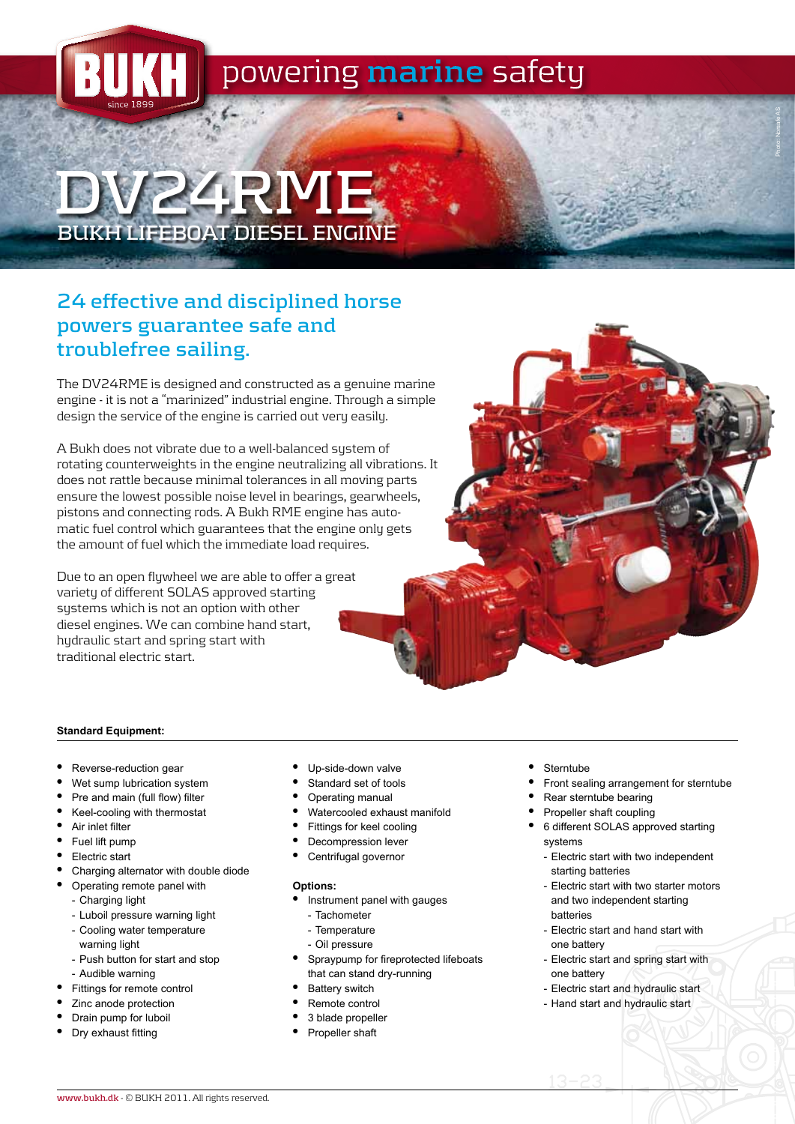

# **DV24RME BUKH LIFEBOAT DIESEL ENGINE**

## **24 effective and disciplined horse powers guarantee safe and troublefree sailing.**

The DV24RME is designed and constructed as a genuine marine engine - it is not a "marinized" industrial engine. Through a simple design the service of the engine is carried out very easily.

A Bukh does not vibrate due to a well-balanced sustem of rotating counterweights in the engine neutralizing all vibrations. It does not rattle because minimal tolerances in all moving parts ensure the lowest possible noise level in bearings, gearwheels, pistons and connecting rods. A Bukh RME engine has automatic fuel control which guarantees that the engine only gets the amount of fuel which the immediate load requires.

Due to an open flywheel we are able to offer a great variety of different SOLAS approved starting sustems which is not an option with other diesel engines. We can combine hand start, hydraulic start and spring start with traditional electric start.

#### **Standard Equipment:**

- Reverse-reduction gear
- Wet sump lubrication system
- Pre and main (full flow) filter
- • Keel-cooling with thermostat
- • Air inlet filter
- Fuel lift pump
- Electric start
- Charging alternator with double diode
- Operating remote panel with
	- Charging light
	- Luboil pressure warning light
	- Cooling water temperature warning light
	- Push button for start and stop
	- Audible warning
- Fittings for remote control
- Zinc anode protection
- Drain pump for luboil
- Dry exhaust fitting
- Up-side-down valve
- Standard set of tools
- Operating manual
- Watercooled exhaust manifold
- Fittings for keel cooling
- Decompression lever
- Centrifugal governor

#### **Options:**

- Instrument panel with gauges
- Tachometer
- Temperature
- Oil pressure
- Spraypump for fireprotected lifeboats that can stand dry-running
- **Battery switch**
- Remote control
- 3 blade propeller
- Propeller shaft
- **Sterntube**
- Front sealing arrangement for sterntube

Photo: Norsafe AS

- Rear sterntube bearing
- Propeller shaft coupling
- • 6 different SOLAS approved starting systems
	- Electric start with two independent starting batteries
	- Electric start with two starter motors and two independent starting batteries
	- Electric start and hand start with one battery
	- Electric start and spring start with one battery
	- Electric start and hydraulic start
	- Hand start and hydraulic start